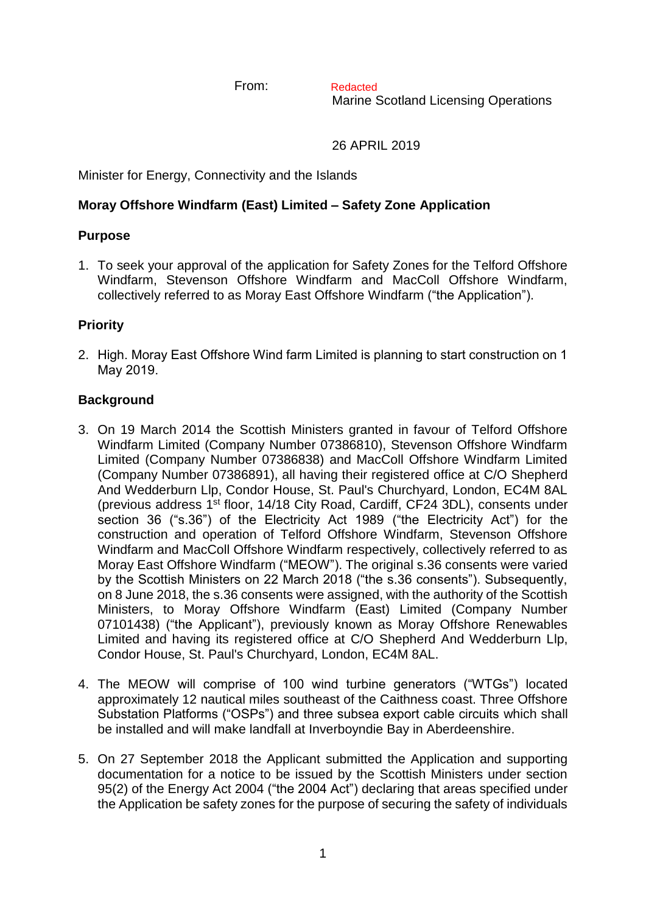From:

Marine Scotland Licensing Operations Redacted

26 APRIL 2019

Minister for Energy, Connectivity and the Islands

## **Moray Offshore Windfarm (East) Limited – Safety Zone Application**

## **Purpose**

1. To seek your approval of the application for Safety Zones for the Telford Offshore Windfarm, Stevenson Offshore Windfarm and MacColl Offshore Windfarm, collectively referred to as Moray East Offshore Windfarm ("the Application").

## **Priority**

2. High. Moray East Offshore Wind farm Limited is planning to start construction on 1 May 2019.

## **Background**

- 3. On 19 March 2014 the Scottish Ministers granted in favour of Telford Offshore Windfarm Limited (Company Number 07386810), Stevenson Offshore Windfarm Limited (Company Number 07386838) and MacColl Offshore Windfarm Limited (Company Number 07386891), all having their registered office at C/O Shepherd And Wedderburn Llp, Condor House, St. Paul's Churchyard, London, EC4M 8AL (previous address 1st floor, 14/18 City Road, Cardiff, CF24 3DL), consents under section 36 ("s.36") of the Electricity Act 1989 ("the Electricity Act") for the construction and operation of Telford Offshore Windfarm, Stevenson Offshore Windfarm and MacColl Offshore Windfarm respectively, collectively referred to as Moray East Offshore Windfarm ("MEOW"). The original s.36 consents were varied by the Scottish Ministers on 22 March 2018 ("the s.36 consents"). Subsequently, on 8 June 2018, the s.36 consents were assigned, with the authority of the Scottish Ministers, to Moray Offshore Windfarm (East) Limited (Company Number 07101438) ("the Applicant"), previously known as Moray Offshore Renewables Limited and having its registered office at C/O Shepherd And Wedderburn Llp, Condor House, St. Paul's Churchyard, London, EC4M 8AL.
- 4. The MEOW will comprise of 100 wind turbine generators ("WTGs") located approximately 12 nautical miles southeast of the Caithness coast. Three Offshore Substation Platforms ("OSPs") and three subsea export cable circuits which shall be installed and will make landfall at Inverboyndie Bay in Aberdeenshire.
- 5. On 27 September 2018 the Applicant submitted the Application and supporting documentation for a notice to be issued by the Scottish Ministers under section 95(2) of the Energy Act 2004 ("the 2004 Act") declaring that areas specified under the Application be safety zones for the purpose of securing the safety of individuals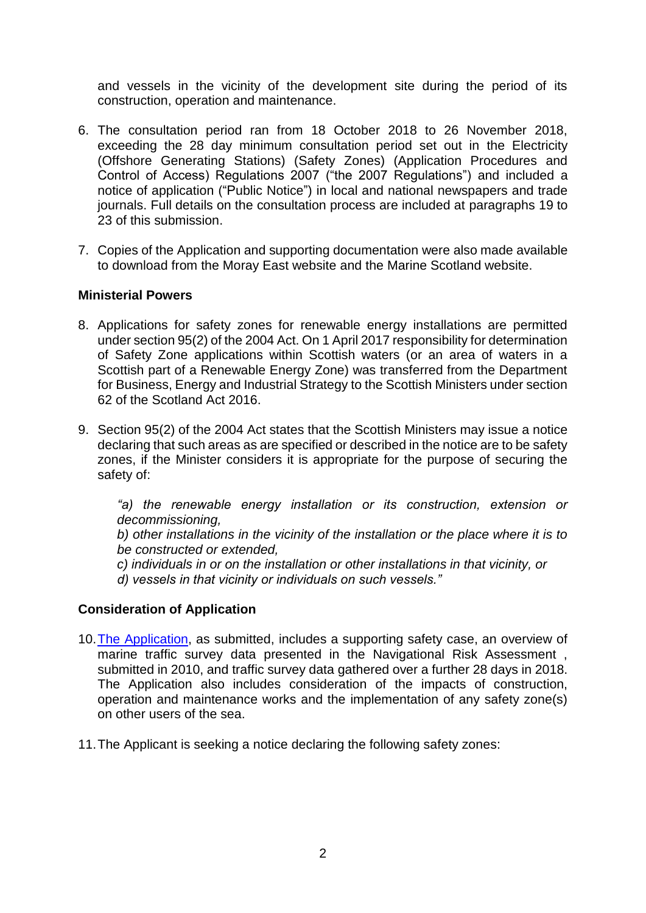and vessels in the vicinity of the development site during the period of its construction, operation and maintenance.

- 6. The consultation period ran from 18 October 2018 to 26 November 2018, exceeding the 28 day minimum consultation period set out in the Electricity (Offshore Generating Stations) (Safety Zones) (Application Procedures and Control of Access) Regulations 2007 ("the 2007 Regulations") and included a notice of application ("Public Notice") in local and national newspapers and trade journals. Full details on the consultation process are included at paragraphs 19 to 23 of this submission.
- 7. Copies of the Application and supporting documentation were also made available to download from the Moray East website and the Marine Scotland website.

#### **Ministerial Powers**

- 8. Applications for safety zones for renewable energy installations are permitted under section 95(2) of the 2004 Act. On 1 April 2017 responsibility for determination of Safety Zone applications within Scottish waters (or an area of waters in a Scottish part of a Renewable Energy Zone) was transferred from the Department for Business, Energy and Industrial Strategy to the Scottish Ministers under section 62 of the Scotland Act 2016.
- 9. Section 95(2) of the 2004 Act states that the Scottish Ministers may issue a notice declaring that such areas as are specified or described in the notice are to be safety zones, if the Minister considers it is appropriate for the purpose of securing the safety of:

*"a) the renewable energy installation or its construction, extension or decommissioning,*

*b) other installations in the vicinity of the installation or the place where it is to be constructed or extended,*

*c) individuals in or on the installation or other installations in that vicinity, or d) vessels in that vicinity or individuals on such vessels."*

#### **Consideration of Application**

- 10[.The Application,](http://marine.gov.scot/data/moray-east-offshore-windfarm-safety-zone-application) as submitted, includes a supporting safety case, an overview of marine traffic survey data presented in the Navigational Risk Assessment , submitted in 2010, and traffic survey data gathered over a further 28 days in 2018. The Application also includes consideration of the impacts of construction, operation and maintenance works and the implementation of any safety zone(s) on other users of the sea.
- 11.The Applicant is seeking a notice declaring the following safety zones: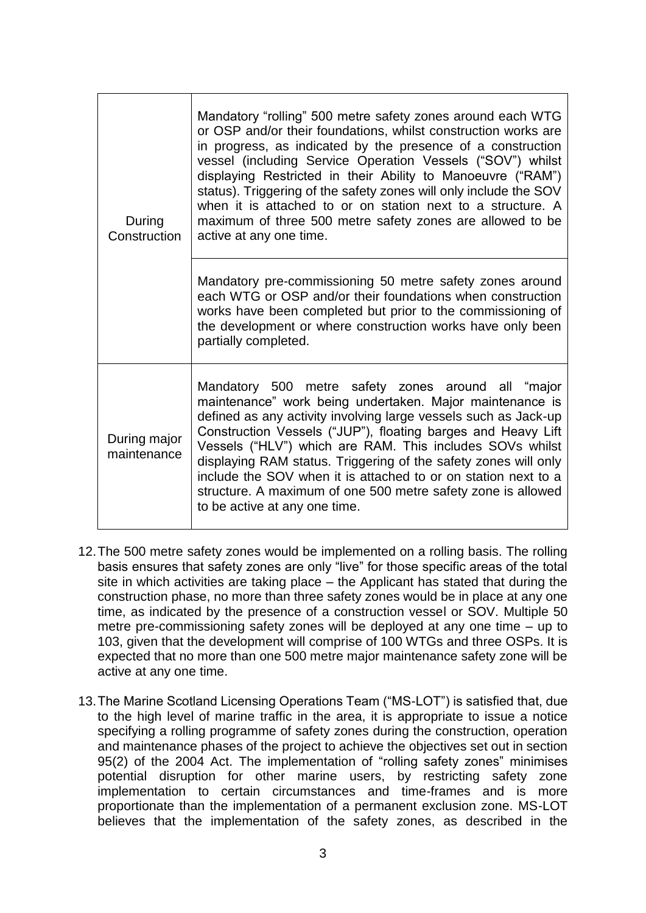| During<br>Construction      | Mandatory "rolling" 500 metre safety zones around each WTG<br>or OSP and/or their foundations, whilst construction works are<br>in progress, as indicated by the presence of a construction<br>vessel (including Service Operation Vessels ("SOV") whilst<br>displaying Restricted in their Ability to Manoeuvre ("RAM")<br>status). Triggering of the safety zones will only include the SOV<br>when it is attached to or on station next to a structure. A<br>maximum of three 500 metre safety zones are allowed to be<br>active at any one time. |
|-----------------------------|------------------------------------------------------------------------------------------------------------------------------------------------------------------------------------------------------------------------------------------------------------------------------------------------------------------------------------------------------------------------------------------------------------------------------------------------------------------------------------------------------------------------------------------------------|
|                             | Mandatory pre-commissioning 50 metre safety zones around<br>each WTG or OSP and/or their foundations when construction<br>works have been completed but prior to the commissioning of<br>the development or where construction works have only been<br>partially completed.                                                                                                                                                                                                                                                                          |
| During major<br>maintenance | Mandatory 500 metre safety zones around all "major<br>maintenance" work being undertaken. Major maintenance is<br>defined as any activity involving large vessels such as Jack-up<br>Construction Vessels ("JUP"), floating barges and Heavy Lift<br>Vessels ("HLV") which are RAM. This includes SOVs whilst<br>displaying RAM status. Triggering of the safety zones will only<br>include the SOV when it is attached to or on station next to a<br>structure. A maximum of one 500 metre safety zone is allowed<br>to be active at any one time.  |

- 12.The 500 metre safety zones would be implemented on a rolling basis. The rolling basis ensures that safety zones are only "live" for those specific areas of the total site in which activities are taking place – the Applicant has stated that during the construction phase, no more than three safety zones would be in place at any one time, as indicated by the presence of a construction vessel or SOV. Multiple 50 metre pre-commissioning safety zones will be deployed at any one time – up to 103, given that the development will comprise of 100 WTGs and three OSPs. It is expected that no more than one 500 metre major maintenance safety zone will be active at any one time.
- 13.The Marine Scotland Licensing Operations Team ("MS-LOT") is satisfied that, due to the high level of marine traffic in the area, it is appropriate to issue a notice specifying a rolling programme of safety zones during the construction, operation and maintenance phases of the project to achieve the objectives set out in section 95(2) of the 2004 Act. The implementation of "rolling safety zones" minimises potential disruption for other marine users, by restricting safety zone implementation to certain circumstances and time-frames and is more proportionate than the implementation of a permanent exclusion zone. MS-LOT believes that the implementation of the safety zones, as described in the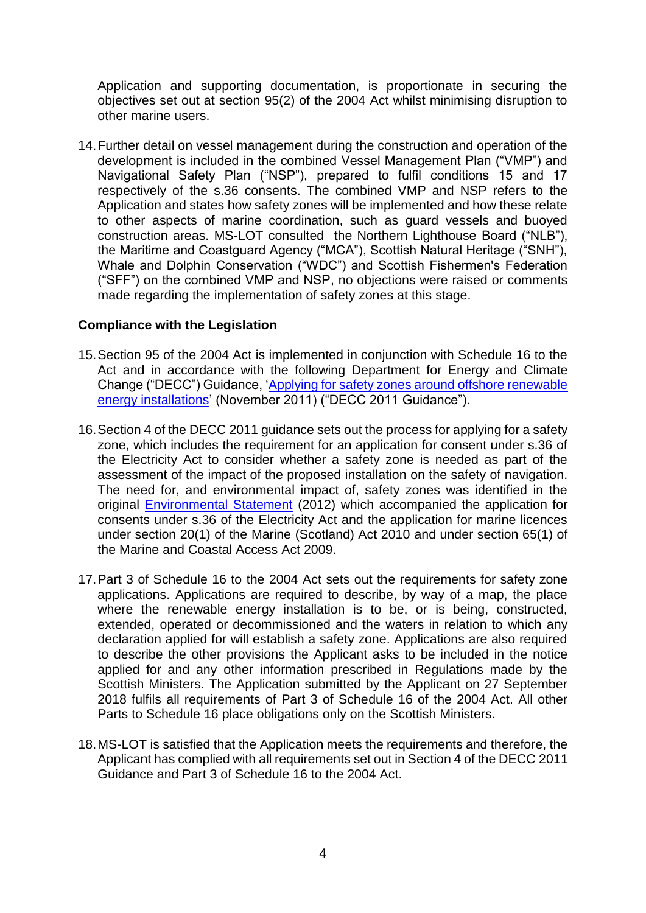Application and supporting documentation, is proportionate in securing the objectives set out at section 95(2) of the 2004 Act whilst minimising disruption to other marine users.

14.Further detail on vessel management during the construction and operation of the development is included in the combined Vessel Management Plan ("VMP") and Navigational Safety Plan ("NSP"), prepared to fulfil conditions 15 and 17 respectively of the s.36 consents. The combined VMP and NSP refers to the Application and states how safety zones will be implemented and how these relate to other aspects of marine coordination, such as guard vessels and buoyed construction areas. MS-LOT consulted the Northern Lighthouse Board ("NLB"), the Maritime and Coastguard Agency ("MCA"), Scottish Natural Heritage ("SNH"), Whale and Dolphin Conservation ("WDC") and Scottish Fishermen's Federation ("SFF") on the combined VMP and NSP, no objections were raised or comments made regarding the implementation of safety zones at this stage.

## **Compliance with the Legislation**

- 15.Section 95 of the 2004 Act is implemented in conjunction with Schedule 16 to the Act and in accordance with the following Department for Energy and Climate Change ("DECC") Guidance, ['Applying for safety zones around offshore renewable](https://itportal.beis.gov.uk/EIP/pages/files/file40651.pdf)  [energy installations'](https://itportal.beis.gov.uk/EIP/pages/files/file40651.pdf) (November 2011) ("DECC 2011 Guidance").
- 16.Section 4 of the DECC 2011 guidance sets out the process for applying for a safety zone, which includes the requirement for an application for consent under s.36 of the Electricity Act to consider whether a safety zone is needed as part of the assessment of the impact of the proposed installation on the safety of navigation. The need for, and environmental impact of, safety zones was identified in the original [Environmental Statement](http://marine.gov.scot/datafiles/lot/MORL/Environmental_statement/) (2012) which accompanied the application for consents under s.36 of the Electricity Act and the application for marine licences under section 20(1) of the Marine (Scotland) Act 2010 and under section 65(1) of the Marine and Coastal Access Act 2009.
- 17.Part 3 of Schedule 16 to the 2004 Act sets out the requirements for safety zone applications. Applications are required to describe, by way of a map, the place where the renewable energy installation is to be, or is being, constructed, extended, operated or decommissioned and the waters in relation to which any declaration applied for will establish a safety zone. Applications are also required to describe the other provisions the Applicant asks to be included in the notice applied for and any other information prescribed in Regulations made by the Scottish Ministers. The Application submitted by the Applicant on 27 September 2018 fulfils all requirements of Part 3 of Schedule 16 of the 2004 Act. All other Parts to Schedule 16 place obligations only on the Scottish Ministers.
- 18.MS-LOT is satisfied that the Application meets the requirements and therefore, the Applicant has complied with all requirements set out in Section 4 of the DECC 2011 Guidance and Part 3 of Schedule 16 to the 2004 Act.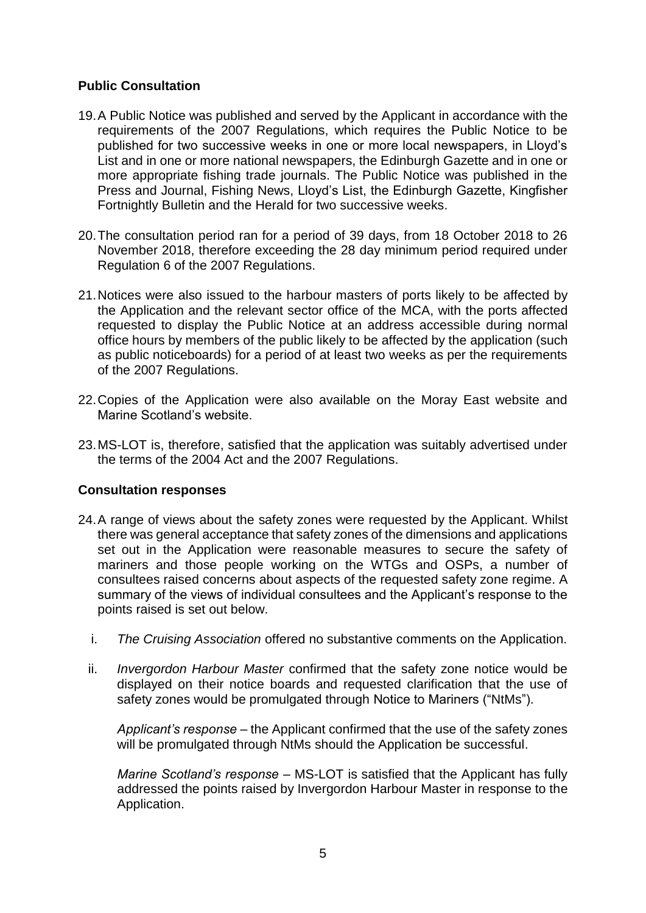## **Public Consultation**

- 19.A Public Notice was published and served by the Applicant in accordance with the requirements of the 2007 Regulations, which requires the Public Notice to be published for two successive weeks in one or more local newspapers, in Lloyd's List and in one or more national newspapers, the Edinburgh Gazette and in one or more appropriate fishing trade journals. The Public Notice was published in the Press and Journal, Fishing News, Lloyd's List, the Edinburgh Gazette, Kingfisher Fortnightly Bulletin and the Herald for two successive weeks.
- 20.The consultation period ran for a period of 39 days, from 18 October 2018 to 26 November 2018, therefore exceeding the 28 day minimum period required under Regulation 6 of the 2007 Regulations.
- 21.Notices were also issued to the harbour masters of ports likely to be affected by the Application and the relevant sector office of the MCA, with the ports affected requested to display the Public Notice at an address accessible during normal office hours by members of the public likely to be affected by the application (such as public noticeboards) for a period of at least two weeks as per the requirements of the 2007 Regulations.
- 22.Copies of the Application were also available on the Moray East website and Marine Scotland's website.
- 23.MS-LOT is, therefore, satisfied that the application was suitably advertised under the terms of the 2004 Act and the 2007 Regulations.

#### **Consultation responses**

- 24.A range of views about the safety zones were requested by the Applicant. Whilst there was general acceptance that safety zones of the dimensions and applications set out in the Application were reasonable measures to secure the safety of mariners and those people working on the WTGs and OSPs, a number of consultees raised concerns about aspects of the requested safety zone regime. A summary of the views of individual consultees and the Applicant's response to the points raised is set out below.
	- i. *The Cruising Association* offered no substantive comments on the Application.
	- ii. *Invergordon Harbour Master* confirmed that the safety zone notice would be displayed on their notice boards and requested clarification that the use of safety zones would be promulgated through Notice to Mariners ("NtMs").

*Applicant's response* – the Applicant confirmed that the use of the safety zones will be promulgated through NtMs should the Application be successful.

*Marine Scotland's response* – MS-LOT is satisfied that the Applicant has fully addressed the points raised by Invergordon Harbour Master in response to the Application.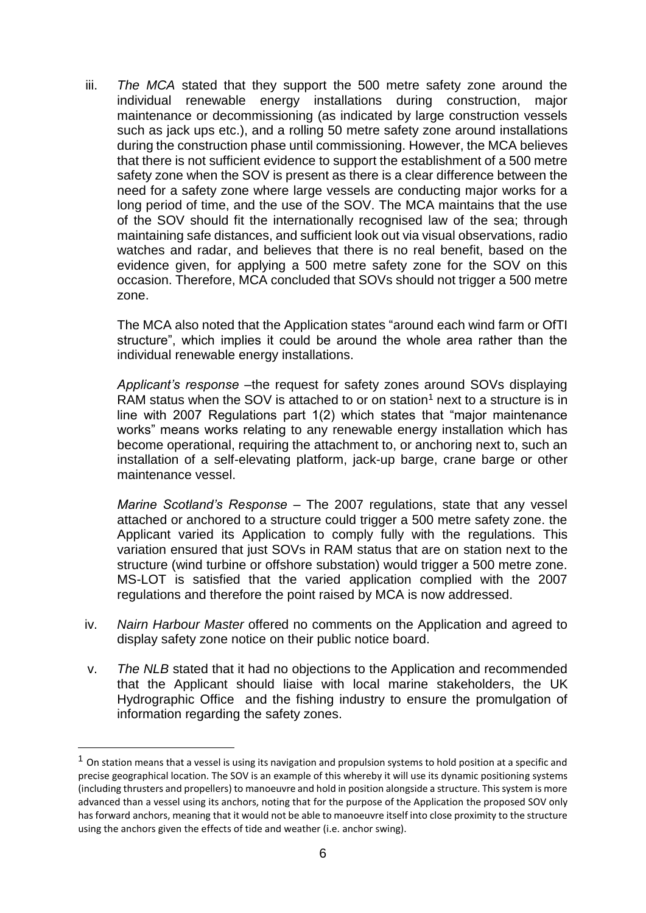iii. *The MCA* stated that they support the 500 metre safety zone around the individual renewable energy installations during construction, major maintenance or decommissioning (as indicated by large construction vessels such as jack ups etc.), and a rolling 50 metre safety zone around installations during the construction phase until commissioning. However, the MCA believes that there is not sufficient evidence to support the establishment of a 500 metre safety zone when the SOV is present as there is a clear difference between the need for a safety zone where large vessels are conducting major works for a long period of time, and the use of the SOV. The MCA maintains that the use of the SOV should fit the internationally recognised law of the sea; through maintaining safe distances, and sufficient look out via visual observations, radio watches and radar, and believes that there is no real benefit, based on the evidence given, for applying a 500 metre safety zone for the SOV on this occasion. Therefore, MCA concluded that SOVs should not trigger a 500 metre zone.

The MCA also noted that the Application states "around each wind farm or OfTI structure", which implies it could be around the whole area rather than the individual renewable energy installations.

*Applicant's response –*the request for safety zones around SOVs displaying RAM status when the SOV is attached to or on station<sup>1</sup> next to a structure is in line with 2007 Regulations part 1(2) which states that "major maintenance works" means works relating to any renewable energy installation which has become operational, requiring the attachment to, or anchoring next to, such an installation of a self-elevating platform, jack-up barge, crane barge or other maintenance vessel.

*Marine Scotland's Response* – The 2007 regulations, state that any vessel attached or anchored to a structure could trigger a 500 metre safety zone. the Applicant varied its Application to comply fully with the regulations. This variation ensured that just SOVs in RAM status that are on station next to the structure (wind turbine or offshore substation) would trigger a 500 metre zone. MS-LOT is satisfied that the varied application complied with the 2007 regulations and therefore the point raised by MCA is now addressed.

- iv. *Nairn Harbour Master* offered no comments on the Application and agreed to display safety zone notice on their public notice board.
- v. *The NLB* stated that it had no objections to the Application and recommended that the Applicant should liaise with local marine stakeholders, the UK Hydrographic Office and the fishing industry to ensure the promulgation of information regarding the safety zones.

1

 $1$  On station means that a vessel is using its navigation and propulsion systems to hold position at a specific and precise geographical location. The SOV is an example of this whereby it will use its dynamic positioning systems (including thrusters and propellers) to manoeuvre and hold in position alongside a structure. This system is more advanced than a vessel using its anchors, noting that for the purpose of the Application the proposed SOV only has forward anchors, meaning that it would not be able to manoeuvre itself into close proximity to the structure using the anchors given the effects of tide and weather (i.e. anchor swing).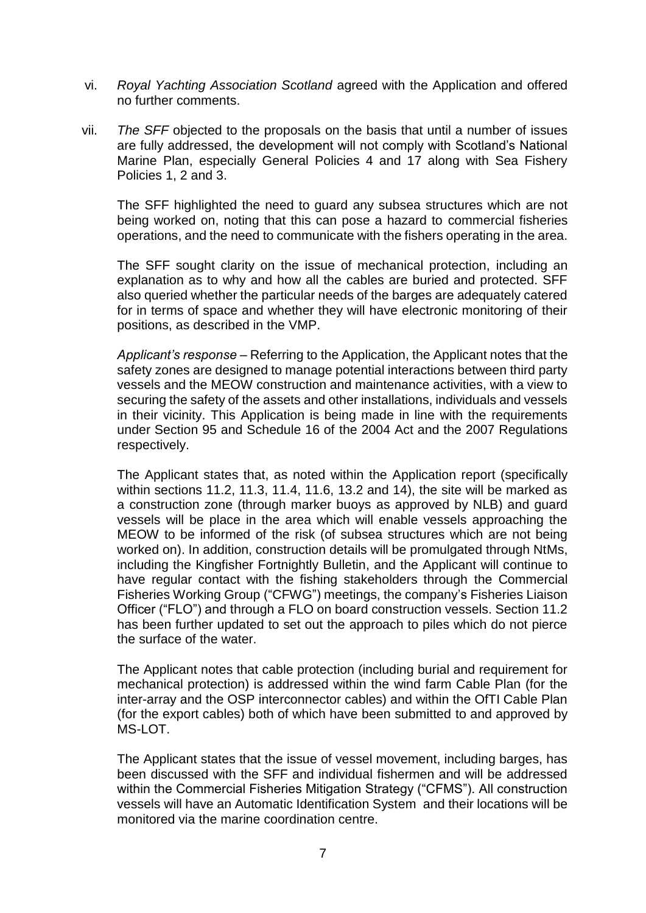- vi. *Royal Yachting Association Scotland* agreed with the Application and offered no further comments.
- vii. *The SFF* objected to the proposals on the basis that until a number of issues are fully addressed, the development will not comply with Scotland's National Marine Plan, especially General Policies 4 and 17 along with Sea Fishery Policies 1, 2 and 3.

The SFF highlighted the need to guard any subsea structures which are not being worked on, noting that this can pose a hazard to commercial fisheries operations, and the need to communicate with the fishers operating in the area.

The SFF sought clarity on the issue of mechanical protection, including an explanation as to why and how all the cables are buried and protected. SFF also queried whether the particular needs of the barges are adequately catered for in terms of space and whether they will have electronic monitoring of their positions, as described in the VMP.

*Applicant's response –* Referring to the Application, the Applicant notes that the safety zones are designed to manage potential interactions between third party vessels and the MEOW construction and maintenance activities, with a view to securing the safety of the assets and other installations, individuals and vessels in their vicinity. This Application is being made in line with the requirements under Section 95 and Schedule 16 of the 2004 Act and the 2007 Regulations respectively.

The Applicant states that, as noted within the Application report (specifically within sections 11.2, 11.3, 11.4, 11.6, 13.2 and 14), the site will be marked as a construction zone (through marker buoys as approved by NLB) and guard vessels will be place in the area which will enable vessels approaching the MEOW to be informed of the risk (of subsea structures which are not being worked on). In addition, construction details will be promulgated through NtMs, including the Kingfisher Fortnightly Bulletin, and the Applicant will continue to have regular contact with the fishing stakeholders through the Commercial Fisheries Working Group ("CFWG") meetings, the company's Fisheries Liaison Officer ("FLO") and through a FLO on board construction vessels. Section 11.2 has been further updated to set out the approach to piles which do not pierce the surface of the water.

The Applicant notes that cable protection (including burial and requirement for mechanical protection) is addressed within the wind farm Cable Plan (for the inter-array and the OSP interconnector cables) and within the OfTI Cable Plan (for the export cables) both of which have been submitted to and approved by MS-LOT.

The Applicant states that the issue of vessel movement, including barges, has been discussed with the SFF and individual fishermen and will be addressed within the Commercial Fisheries Mitigation Strategy ("CFMS"). All construction vessels will have an Automatic Identification System and their locations will be monitored via the marine coordination centre.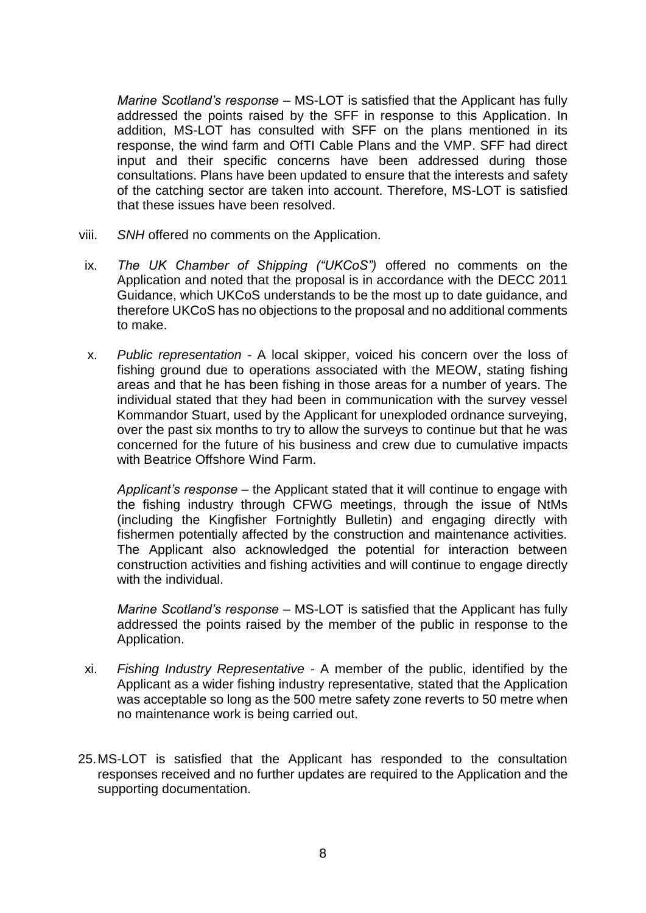*Marine Scotland's response –* MS-LOT is satisfied that the Applicant has fully addressed the points raised by the SFF in response to this Application. In addition, MS-LOT has consulted with SFF on the plans mentioned in its response, the wind farm and OfTI Cable Plans and the VMP. SFF had direct input and their specific concerns have been addressed during those consultations. Plans have been updated to ensure that the interests and safety of the catching sector are taken into account. Therefore, MS-LOT is satisfied that these issues have been resolved.

- viii. *SNH* offered no comments on the Application.
- ix. *The UK Chamber of Shipping ("UKCoS")* offered no comments on the Application and noted that the proposal is in accordance with the DECC 2011 Guidance, which UKCoS understands to be the most up to date guidance, and therefore UKCoS has no objections to the proposal and no additional comments to make.
- x. *Public representation -* A local skipper, voiced his concern over the loss of fishing ground due to operations associated with the MEOW, stating fishing areas and that he has been fishing in those areas for a number of years. The individual stated that they had been in communication with the survey vessel Kommandor Stuart, used by the Applicant for unexploded ordnance surveying, over the past six months to try to allow the surveys to continue but that he was concerned for the future of his business and crew due to cumulative impacts with Beatrice Offshore Wind Farm.

*Applicant's response* – the Applicant stated that it will continue to engage with the fishing industry through CFWG meetings, through the issue of NtMs (including the Kingfisher Fortnightly Bulletin) and engaging directly with fishermen potentially affected by the construction and maintenance activities. The Applicant also acknowledged the potential for interaction between construction activities and fishing activities and will continue to engage directly with the individual.

*Marine Scotland's response* – MS-LOT is satisfied that the Applicant has fully addressed the points raised by the member of the public in response to the Application.

- xi. *Fishing Industry Representative -* A member of the public, identified by the Applicant as a wider fishing industry representative*,* stated that the Application was acceptable so long as the 500 metre safety zone reverts to 50 metre when no maintenance work is being carried out.
- 25.MS-LOT is satisfied that the Applicant has responded to the consultation responses received and no further updates are required to the Application and the supporting documentation.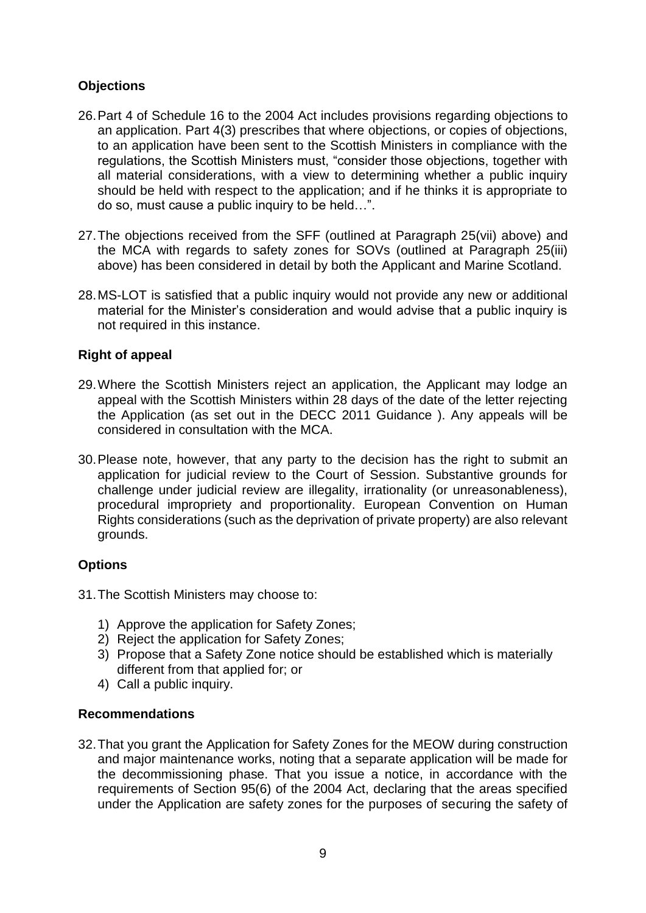# **Objections**

- 26.Part 4 of Schedule 16 to the 2004 Act includes provisions regarding objections to an application. Part 4(3) prescribes that where objections, or copies of objections, to an application have been sent to the Scottish Ministers in compliance with the regulations, the Scottish Ministers must, "consider those objections, together with all material considerations, with a view to determining whether a public inquiry should be held with respect to the application; and if he thinks it is appropriate to do so, must cause a public inquiry to be held…".
- 27.The objections received from the SFF (outlined at Paragraph 25(vii) above) and the MCA with regards to safety zones for SOVs (outlined at Paragraph 25(iii) above) has been considered in detail by both the Applicant and Marine Scotland.
- 28.MS-LOT is satisfied that a public inquiry would not provide any new or additional material for the Minister's consideration and would advise that a public inquiry is not required in this instance.

# **Right of appeal**

- 29.Where the Scottish Ministers reject an application, the Applicant may lodge an appeal with the Scottish Ministers within 28 days of the date of the letter rejecting the Application (as set out in the DECC 2011 Guidance ). Any appeals will be considered in consultation with the MCA.
- 30.Please note, however, that any party to the decision has the right to submit an application for judicial review to the Court of Session. Substantive grounds for challenge under judicial review are illegality, irrationality (or unreasonableness), procedural impropriety and proportionality. European Convention on Human Rights considerations (such as the deprivation of private property) are also relevant grounds.

# **Options**

- 31.The Scottish Ministers may choose to:
	- 1) Approve the application for Safety Zones;
	- 2) Reject the application for Safety Zones;
	- 3) Propose that a Safety Zone notice should be established which is materially different from that applied for; or
	- 4) Call a public inquiry.

#### **Recommendations**

32.That you grant the Application for Safety Zones for the MEOW during construction and major maintenance works, noting that a separate application will be made for the decommissioning phase. That you issue a notice, in accordance with the requirements of Section 95(6) of the 2004 Act, declaring that the areas specified under the Application are safety zones for the purposes of securing the safety of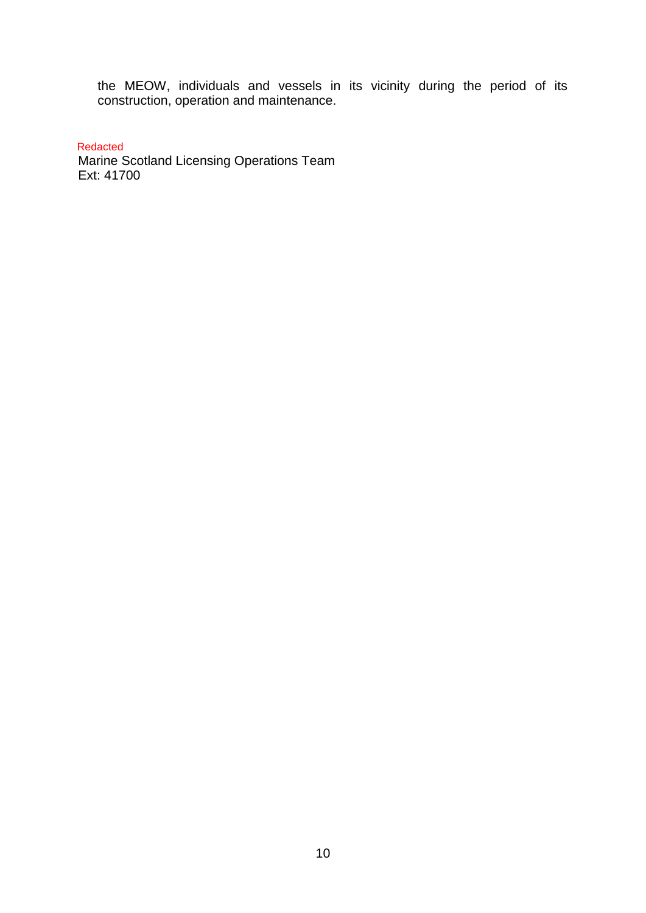the MEOW, individuals and vessels in its vicinity during the period of its construction, operation and maintenance.

Redacted

**Marine Scotland Licensing Operations Team** Ext: 41700